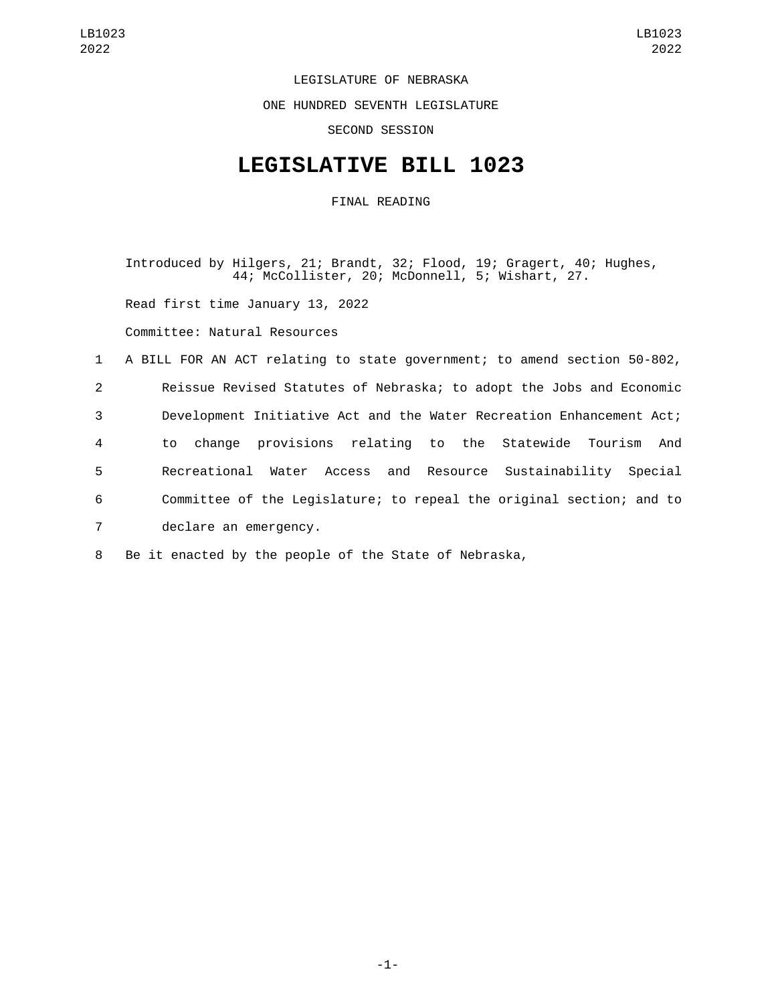LEGISLATURE OF NEBRASKA

ONE HUNDRED SEVENTH LEGISLATURE

SECOND SESSION

## **LEGISLATIVE BILL 1023**

FINAL READING

Introduced by Hilgers, 21; Brandt, 32; Flood, 19; Gragert, 40; Hughes, 44; McCollister, 20; McDonnell, 5; Wishart, 27.

Read first time January 13, 2022

Committee: Natural Resources

 A BILL FOR AN ACT relating to state government; to amend section 50-802, Reissue Revised Statutes of Nebraska; to adopt the Jobs and Economic Development Initiative Act and the Water Recreation Enhancement Act; to change provisions relating to the Statewide Tourism And Recreational Water Access and Resource Sustainability Special Committee of the Legislature; to repeal the original section; and to 7 declare an emergency.

8 Be it enacted by the people of the State of Nebraska,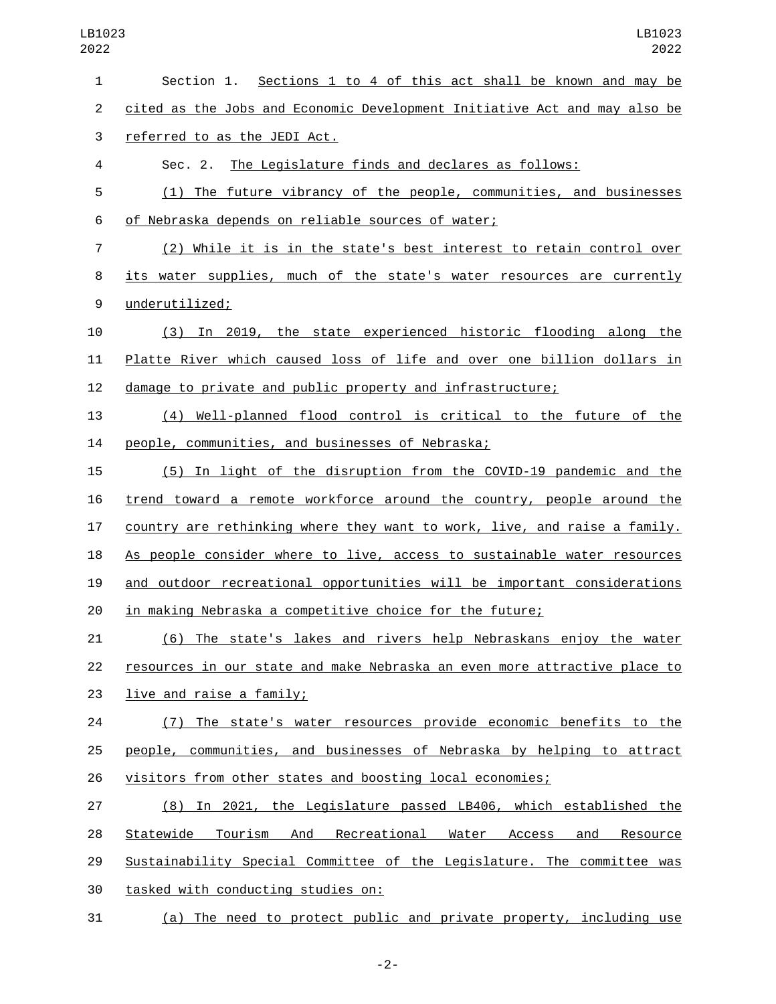| 1              | Section 1. Sections 1 to 4 of this act shall be known and may be          |
|----------------|---------------------------------------------------------------------------|
| $\overline{2}$ | cited as the Jobs and Economic Development Initiative Act and may also be |
| 3              | referred to as the JEDI Act.                                              |
| 4              | Sec. 2. The Legislature finds and declares as follows:                    |
| 5              | (1) The future vibrancy of the people, communities, and businesses        |
| 6              | of Nebraska depends on reliable sources of water;                         |
| 7              | (2) While it is in the state's best interest to retain control over       |
| 8              | its water supplies, much of the state's water resources are currently     |
| 9              | underutilized;                                                            |
| 10             | (3) In 2019, the state experienced historic flooding along the            |
| 11             | Platte River which caused loss of life and over one billion dollars in    |
| 12             | damage to private and public property and infrastructure;                 |
| 13             | (4) Well-planned flood control is critical to the future of the           |
| 14             | people, communities, and businesses of Nebraska;                          |
| 15             | (5) In light of the disruption from the COVID-19 pandemic and the         |
| 16             | trend toward a remote workforce around the country, people around the     |
| 17             | country are rethinking where they want to work, live, and raise a family. |
| 18             | As people consider where to live, access to sustainable water resources   |
| 19             | and outdoor recreational opportunities will be important considerations   |
| 20             | in making Nebraska a competitive choice for the future;                   |
| 21             | (6) The state's lakes and rivers help Nebraskans enjoy the water          |
| 22             | resources in our state and make Nebraska an even more attractive place to |
| 23             | live and raise a family;                                                  |
| 24             | (7) The state's water resources provide economic benefits to the          |
| 25             | people, communities, and businesses of Nebraska by helping to attract     |
| 26             | visitors from other states and boosting local economies;                  |
| 27             | (8) In 2021, the Legislature passed LB406, which established the          |
| 28             | Statewide Tourism And Recreational Water Access<br>and<br>Resource        |
| 29             | Sustainability Special Committee of the Legislature. The committee was    |
| 30             | tasked with conducting studies on:                                        |
| 31             | (a) The need to protect public and private property, including use        |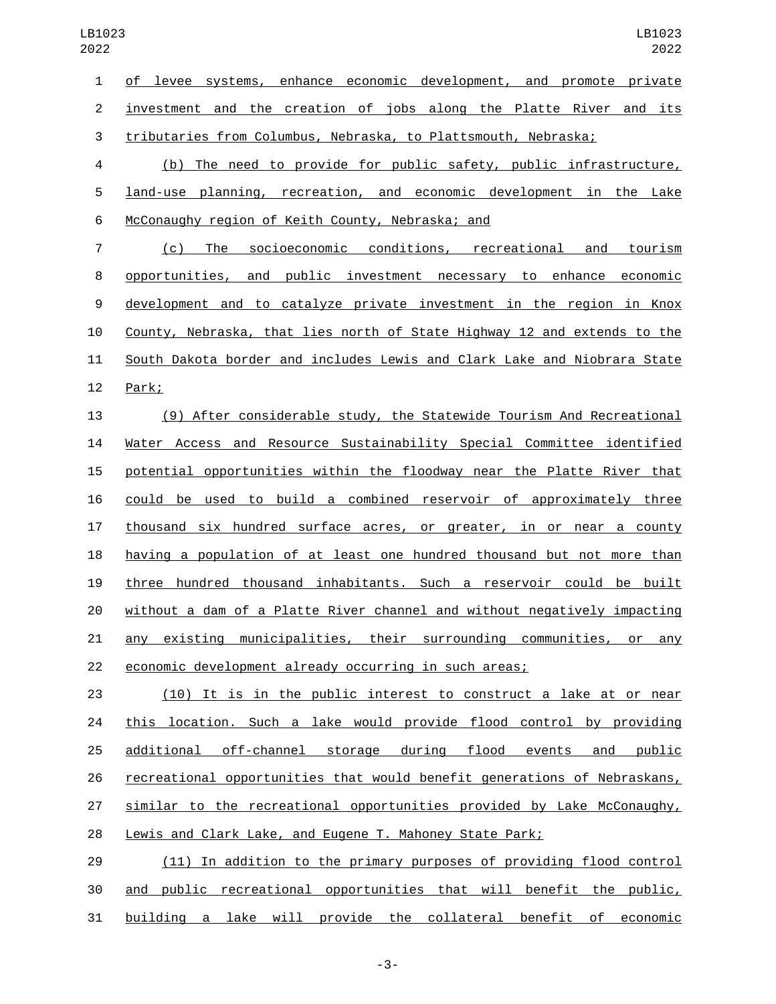| 1              | of levee systems, enhance economic development, and promote private      |
|----------------|--------------------------------------------------------------------------|
| $\overline{2}$ | investment and the creation of jobs along the Platte River and its       |
| 3              | tributaries from Columbus, Nebraska, to Plattsmouth, Nebraska;           |
| $\overline{4}$ | (b) The need to provide for public safety, public infrastructure,        |
| 5              | land-use planning, recreation, and economic development in the Lake      |
| 6              | McConaughy region of Keith County, Nebraska; and                         |
| $\overline{7}$ | (c) The socioeconomic conditions, recreational and tourism               |
| 8              | opportunities, and public investment necessary to enhance economic       |
| 9              | development and to catalyze private investment in the region in Knox     |
| 10             | County, Nebraska, that lies north of State Highway 12 and extends to the |
| 11             | South Dakota border and includes Lewis and Clark Lake and Niobrara State |
| 12             | Park;                                                                    |
| 13             | (9) After considerable study, the Statewide Tourism And Recreational     |
| 14             | Water Access and Resource Sustainability Special Committee identified    |
| 15             | potential opportunities within the floodway near the Platte River that   |
| 16             | could be used to build a combined reservoir of approximately three       |
| 17             | thousand six hundred surface acres, or greater, in or near a county      |
| 18             | having a population of at least one hundred thousand but not more than   |
| 19             | three hundred thousand inhabitants. Such a reservoir could be built      |

 without a dam of a Platte River channel and without negatively impacting any existing municipalities, their surrounding communities, or any economic development already occurring in such areas;

 (10) It is in the public interest to construct a lake at or near 24 this location. Such a lake would provide flood control by providing additional off-channel storage during flood events and public recreational opportunities that would benefit generations of Nebraskans, similar to the recreational opportunities provided by Lake McConaughy, Lewis and Clark Lake, and Eugene T. Mahoney State Park;

 (11) In addition to the primary purposes of providing flood control and public recreational opportunities that will benefit the public, building a lake will provide the collateral benefit of economic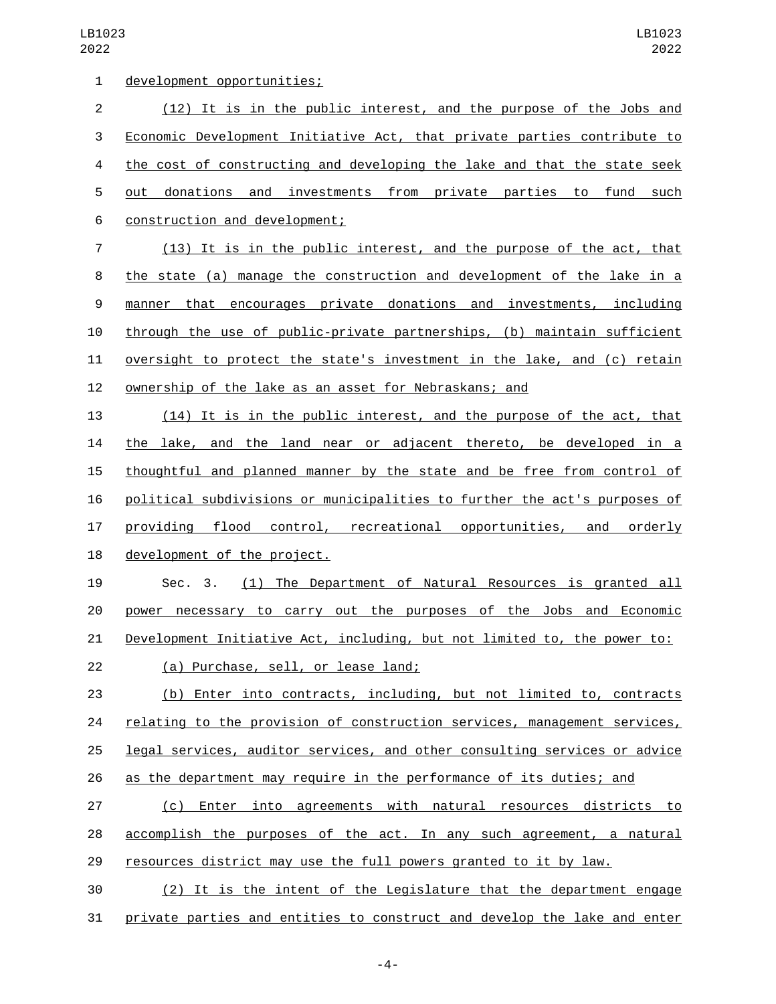| $\mathbf{1}$   | development opportunities;                                                |
|----------------|---------------------------------------------------------------------------|
| $\overline{2}$ | (12) It is in the public interest, and the purpose of the Jobs and        |
| 3              | Economic Development Initiative Act, that private parties contribute to   |
| 4              | the cost of constructing and developing the lake and that the state seek  |
| 5              | donations and investments from private parties to<br>fund<br>such<br>out  |
| 6              | construction and development;                                             |
| 7              | (13) It is in the public interest, and the purpose of the act, that       |
| 8              | the state (a) manage the construction and development of the lake in a    |
| 9              | manner that encourages private donations and investments, including       |
| 10             | through the use of public-private partnerships, (b) maintain sufficient   |
| 11             | oversight to protect the state's investment in the lake, and (c) retain   |
| 12             | <u>ownership of the lake as an asset for Nebraskans; and</u>              |
| 13             | (14) It is in the public interest, and the purpose of the act, that       |
| 14             | the lake, and the land near or adjacent thereto, be developed in a        |
| 15             | thoughtful and planned manner by the state and be free from control of    |
| 16             | political subdivisions or municipalities to further the act's purposes of |
| 17             | providing<br>flood control, recreational opportunities, and<br>orderly    |
| 18             | development of the project.                                               |
| 19             | (1) The Department of Natural Resources is granted all<br>Sec. 3.         |
| 20             | power necessary to carry out the purposes of the Jobs and Economic        |
| 21             | Development Initiative Act, including, but not limited to, the power to:  |
| 22             | (a) Purchase, sell, or lease land;                                        |
| 23             | (b) Enter into contracts, including, but not limited to, contracts        |
| 24             | relating to the provision of construction services, management services,  |
| 25             | legal services, auditor services, and other consulting services or advice |
| 26             | as the department may require in the performance of its duties; and       |
| 27             | (c) Enter into agreements with natural resources districts to             |
| 28             | accomplish the purposes of the act. In any such agreement, a natural      |
| 29             | resources district may use the full powers granted to it by law.          |
| 30             | (2) It is the intent of the Legislature that the department engage        |
| 31             | private parties and entities to construct and develop the lake and enter  |

-4-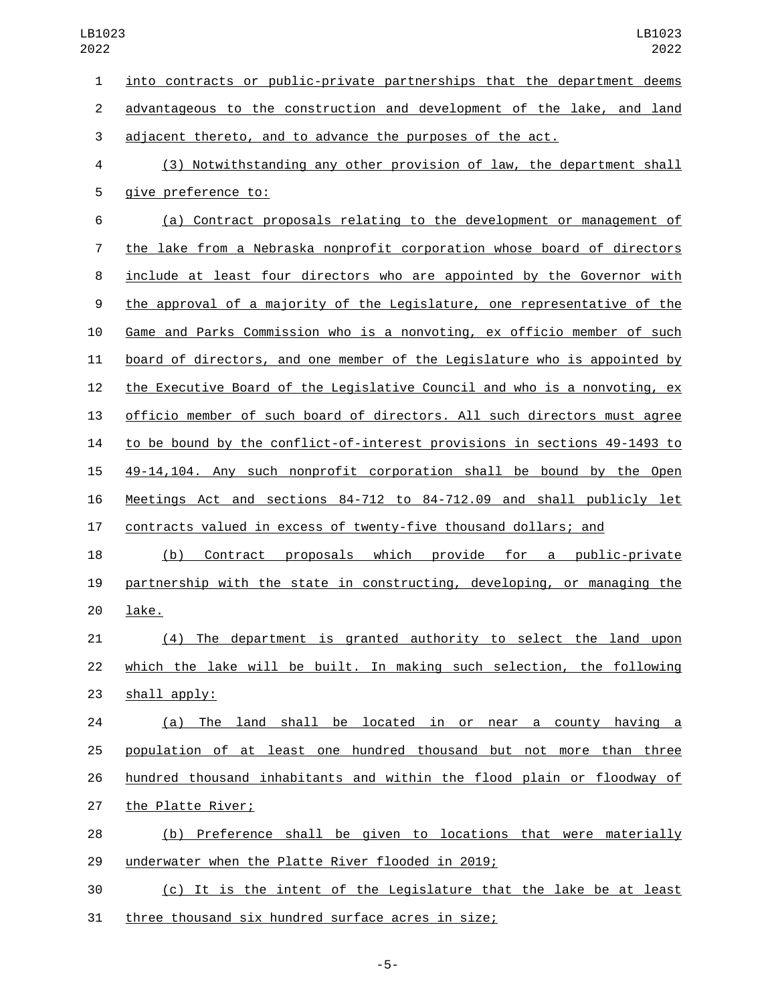into contracts or public-private partnerships that the department deems advantageous to the construction and development of the lake, and land adjacent thereto, and to advance the purposes of the act. (3) Notwithstanding any other provision of law, the department shall 5 give preference to: (a) Contract proposals relating to the development or management of the lake from a Nebraska nonprofit corporation whose board of directors include at least four directors who are appointed by the Governor with the approval of a majority of the Legislature, one representative of the Game and Parks Commission who is a nonvoting, ex officio member of such board of directors, and one member of the Legislature who is appointed by the Executive Board of the Legislative Council and who is a nonvoting, ex officio member of such board of directors. All such directors must agree to be bound by the conflict-of-interest provisions in sections 49-1493 to 49-14,104. Any such nonprofit corporation shall be bound by the Open Meetings Act and sections 84-712 to 84-712.09 and shall publicly let contracts valued in excess of twenty-five thousand dollars; and (b) Contract proposals which provide for a public-private partnership with the state in constructing, developing, or managing the 20 lake. (4) The department is granted authority to select the land upon which the lake will be built. In making such selection, the following shall apply: (a) The land shall be located in or near a county having a population of at least one hundred thousand but not more than three hundred thousand inhabitants and within the flood plain or floodway of 27 the Platte River; (b) Preference shall be given to locations that were materially 29 underwater when the Platte River flooded in 2019; (c) It is the intent of the Legislature that the lake be at least 31 three thousand six hundred surface acres in size;

-5-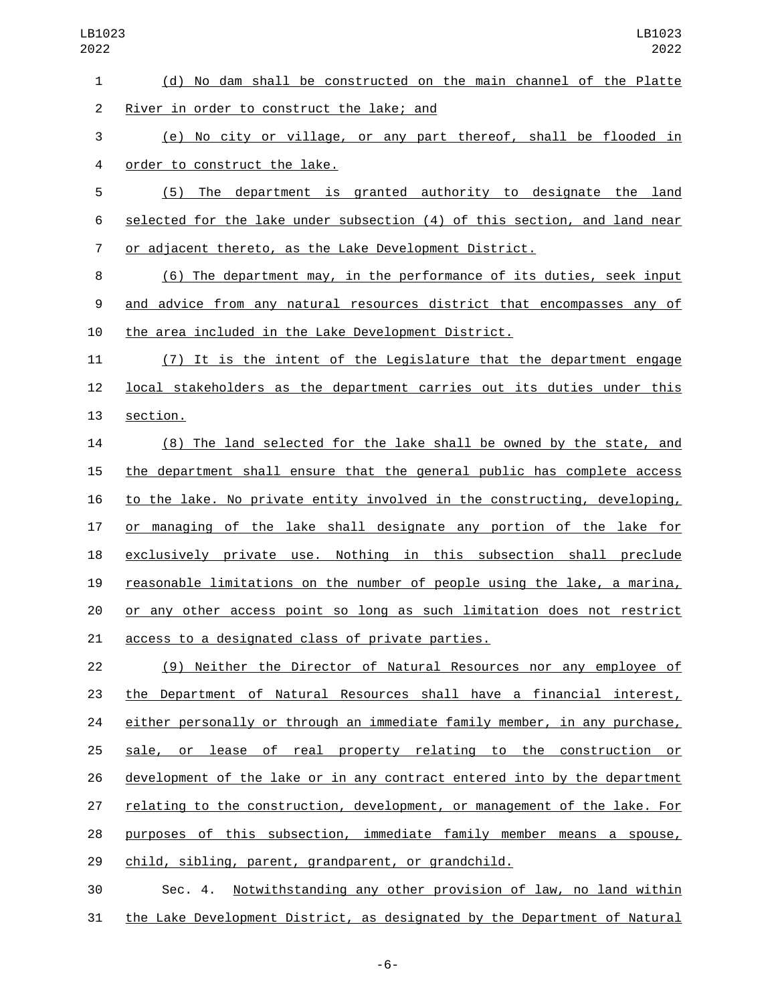| $\mathbf{1}$   | (d) No dam shall be constructed on the main channel of the Platte         |
|----------------|---------------------------------------------------------------------------|
| $\overline{2}$ | River in order to construct the lake; and                                 |
| 3              | (e) No city or village, or any part thereof, shall be flooded in          |
| 4              | order to construct the lake.                                              |
| 5              | (5) The department is granted authority to designate the land             |
| 6              | selected for the lake under subsection (4) of this section, and land near |
| 7              | or adjacent thereto, as the Lake Development District.                    |
| 8              | (6) The department may, in the performance of its duties, seek input      |
| 9              | and advice from any natural resources district that encompasses any of    |
| 10             | the area included in the Lake Development District.                       |
| 11             | (7) It is the intent of the Legislature that the department engage        |
| 12             | local stakeholders as the department carries out its duties under this    |
| 13             | section.                                                                  |
| 14             | (8) The land selected for the lake shall be owned by the state, and       |
| 15             | the department shall ensure that the general public has complete access   |
| 16             | to the lake. No private entity involved in the constructing, developing,  |
| 17             | or managing of the lake shall designate any portion of the lake for       |
| 18             | exclusively private use. Nothing in this subsection shall preclude        |
| 19             | reasonable limitations on the number of people using the lake, a marina,  |
| 20             | or any other access point so long as such limitation does not restrict    |
| 21             | access to a designated class of private parties.                          |
| 22             | (9) Neither the Director of Natural Resources nor any employee of         |
| 23             | the Department of Natural Resources shall have a financial interest,      |
| 24             | either personally or through an immediate family member, in any purchase, |
| 25             | sale, or lease of real property relating to the construction or           |
| 26             | development of the lake or in any contract entered into by the department |
| 27             | relating to the construction, development, or management of the lake. For |
|                |                                                                           |

28 purposes of this subsection, immediate family member means a spouse, child, sibling, parent, grandparent, or grandchild.

 Sec. 4. Notwithstanding any other provision of law, no land within the Lake Development District, as designated by the Department of Natural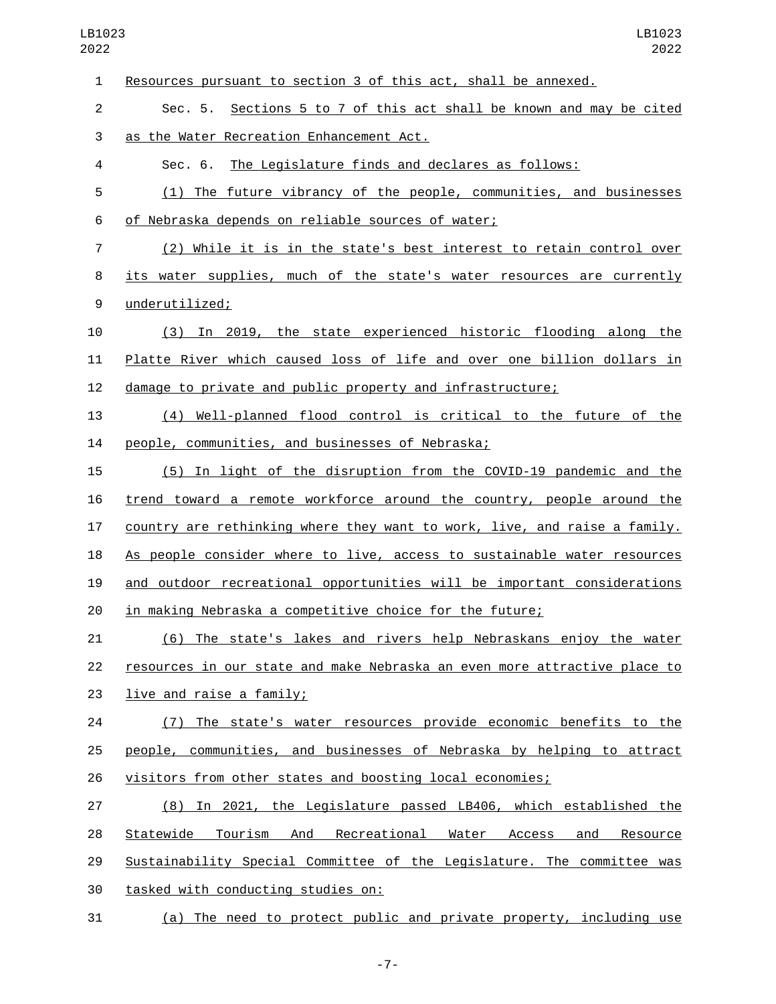| 1  | Resources pursuant to section 3 of this act, shall be annexed.            |
|----|---------------------------------------------------------------------------|
| 2  | Sec. 5. Sections 5 to 7 of this act shall be known and may be cited       |
| 3  | as the Water Recreation Enhancement Act.                                  |
| 4  | Sec. 6. The Legislature finds and declares as follows:                    |
| 5  | (1) The future vibrancy of the people, communities, and businesses        |
| 6  | of Nebraska depends on reliable sources of water;                         |
| 7  | (2) While it is in the state's best interest to retain control over       |
| 8  | its water supplies, much of the state's water resources are currently     |
| 9  | underutilized;                                                            |
| 10 | (3) In 2019, the state experienced historic flooding along the            |
| 11 | Platte River which caused loss of life and over one billion dollars in    |
| 12 | damage to private and public property and infrastructure;                 |
| 13 | (4) Well-planned flood control is critical to the future of the           |
| 14 | people, communities, and businesses of Nebraska;                          |
| 15 | (5) In light of the disruption from the COVID-19 pandemic and the         |
| 16 | trend toward a remote workforce around the country, people around the     |
| 17 | country are rethinking where they want to work, live, and raise a family. |
| 18 | As people consider where to live, access to sustainable water resources   |
| 19 | and outdoor recreational opportunities will be important considerations   |
| 20 | in making Nebraska a competitive choice for the future;                   |
| 21 | (6) The state's lakes and rivers help Nebraskans enjoy the water          |
| 22 | resources in our state and make Nebraska an even more attractive place to |
| 23 | live and raise a family;                                                  |
| 24 | (7) The state's water resources provide economic benefits to the          |
| 25 | people, communities, and businesses of Nebraska by helping to attract     |
| 26 | visitors from other states and boosting local economies;                  |
| 27 | (8) In 2021, the Legislature passed LB406, which established the          |
| 28 | Statewide Tourism And Recreational Water Access<br>and<br>Resource        |
| 29 | Sustainability Special Committee of the Legislature. The committee was    |
| 30 | tasked with conducting studies on:                                        |
| 31 | (a) The need to protect public and private property, including use        |

-7-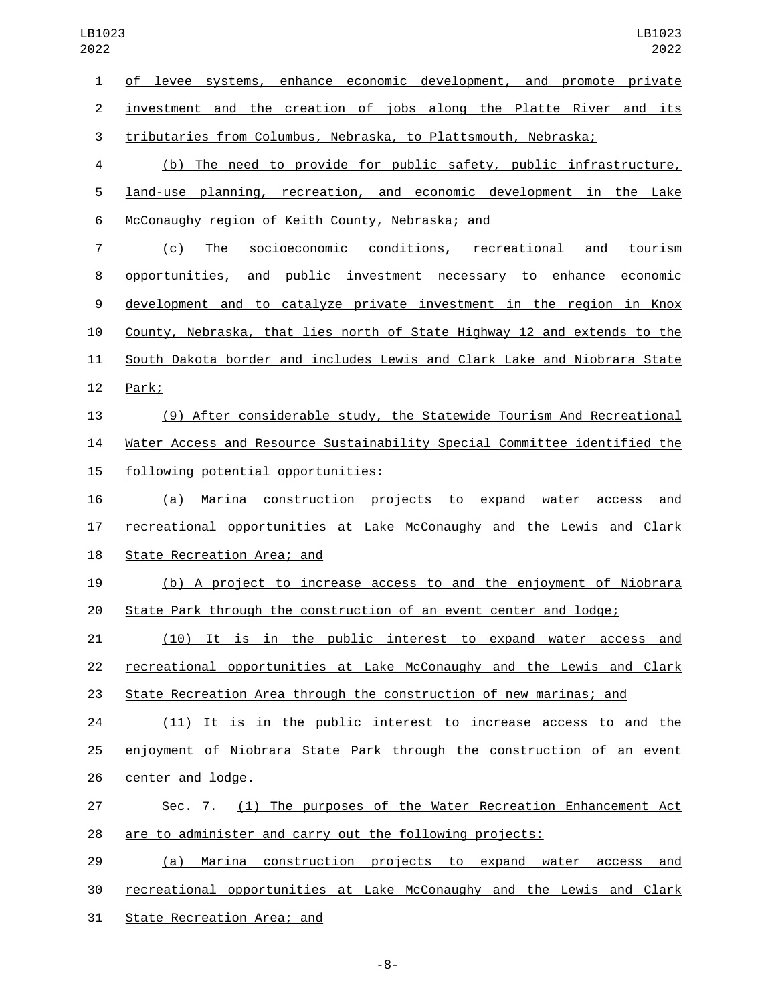| $\mathbf{1}$   | of levee systems, enhance economic development, and promote private       |
|----------------|---------------------------------------------------------------------------|
| $\overline{c}$ | investment and the creation of jobs along the Platte River and its        |
| 3              | tributaries from Columbus, Nebraska, to Plattsmouth, Nebraska;            |
| 4              | (b) The need to provide for public safety, public infrastructure,         |
| 5              | land-use planning, recreation, and economic development in the Lake       |
| 6              | McConaughy region of Keith County, Nebraska; and                          |
| 7              | (c) The socioeconomic conditions, recreational and tourism                |
| 8              | opportunities, and public investment necessary to enhance economic        |
| 9              | development and to catalyze private investment in the region in Knox      |
| 10             | County, Nebraska, that lies north of State Highway 12 and extends to the  |
| 11             | South Dakota border and includes Lewis and Clark Lake and Niobrara State  |
| 12             | Park;                                                                     |
| 13             | (9) After considerable study, the Statewide Tourism And Recreational      |
| 14             | Water Access and Resource Sustainability Special Committee identified the |
| 15             | following potential opportunities:                                        |
| 16             | <u>Marina construction projects to expand water access</u><br>(a)<br>and  |
| 17             | recreational opportunities at Lake McConaughy and the Lewis and Clark     |
| 18             | State Recreation Area; and                                                |
| 19             | (b) A project to increase access to and the enjoyment of Niobrara         |
| 20             | State Park through the construction of an event center and lodge;         |
| 21             | <u>(10) It is in the public interest to expand water access and </u>      |
| 22             | recreational opportunities at Lake McConaughy and the Lewis and Clark     |
| 23             | State Recreation Area through the construction of new marinas; and        |
| 24             | (11) It is in the public interest to increase access to and the           |
| 25             | enjoyment of Niobrara State Park through the construction of an event     |
| 26             | center and lodge.                                                         |
| 27             | Sec. 7. (1) The purposes of the Water Recreation Enhancement Act          |
| 28             | are to administer and carry out the following projects:                   |
| 29             | Marina construction projects to expand water access and<br>(a)            |
| 30             | recreational opportunities at Lake McConaughy and the Lewis and Clark     |
| 31             | State Recreation Area; and                                                |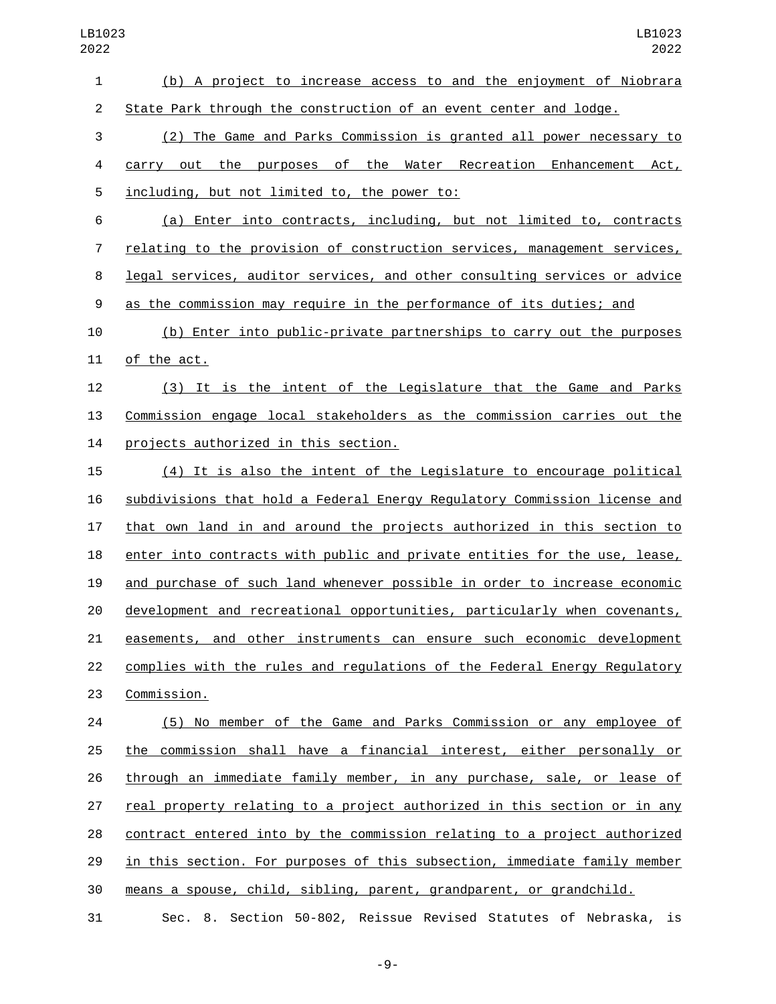(b) A project to increase access to and the enjoyment of Niobrara State Park through the construction of an event center and lodge. (2) The Game and Parks Commission is granted all power necessary to carry out the purposes of the Water Recreation Enhancement Act, 5 including, but not limited to, the power to: (a) Enter into contracts, including, but not limited to, contracts relating to the provision of construction services, management services, legal services, auditor services, and other consulting services or advice as the commission may require in the performance of its duties; and (b) Enter into public-private partnerships to carry out the purposes 11 of the act. (3) It is the intent of the Legislature that the Game and Parks Commission engage local stakeholders as the commission carries out the 14 projects authorized in this section. (4) It is also the intent of the Legislature to encourage political subdivisions that hold a Federal Energy Regulatory Commission license and that own land in and around the projects authorized in this section to enter into contracts with public and private entities for the use, lease, and purchase of such land whenever possible in order to increase economic development and recreational opportunities, particularly when covenants, easements, and other instruments can ensure such economic development complies with the rules and regulations of the Federal Energy Regulatory 23 Commission. (5) No member of the Game and Parks Commission or any employee of

 the commission shall have a financial interest, either personally or through an immediate family member, in any purchase, sale, or lease of real property relating to a project authorized in this section or in any contract entered into by the commission relating to a project authorized in this section. For purposes of this subsection, immediate family member means a spouse, child, sibling, parent, grandparent, or grandchild.

Sec. 8. Section 50-802, Reissue Revised Statutes of Nebraska, is

-9-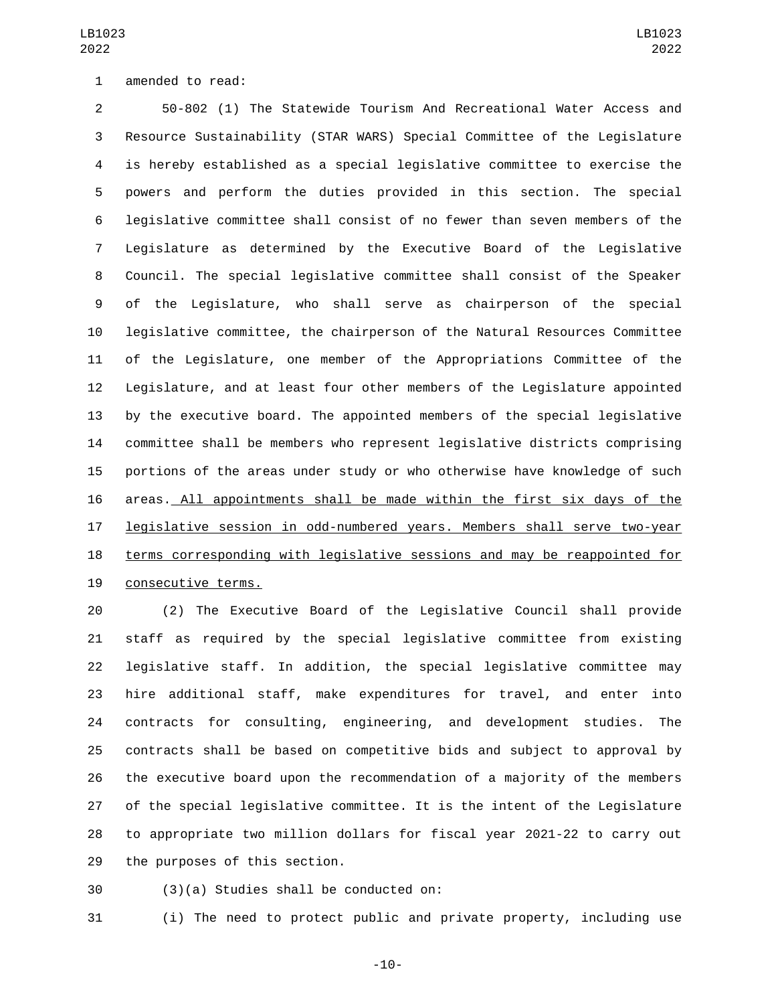1 amended to read:

 50-802 (1) The Statewide Tourism And Recreational Water Access and Resource Sustainability (STAR WARS) Special Committee of the Legislature is hereby established as a special legislative committee to exercise the powers and perform the duties provided in this section. The special legislative committee shall consist of no fewer than seven members of the Legislature as determined by the Executive Board of the Legislative Council. The special legislative committee shall consist of the Speaker of the Legislature, who shall serve as chairperson of the special legislative committee, the chairperson of the Natural Resources Committee of the Legislature, one member of the Appropriations Committee of the Legislature, and at least four other members of the Legislature appointed by the executive board. The appointed members of the special legislative committee shall be members who represent legislative districts comprising portions of the areas under study or who otherwise have knowledge of such areas. All appointments shall be made within the first six days of the legislative session in odd-numbered years. Members shall serve two-year terms corresponding with legislative sessions and may be reappointed for 19 consecutive terms.

 (2) The Executive Board of the Legislative Council shall provide staff as required by the special legislative committee from existing legislative staff. In addition, the special legislative committee may hire additional staff, make expenditures for travel, and enter into contracts for consulting, engineering, and development studies. The contracts shall be based on competitive bids and subject to approval by the executive board upon the recommendation of a majority of the members of the special legislative committee. It is the intent of the Legislature to appropriate two million dollars for fiscal year 2021-22 to carry out 29 the purposes of this section.

(3)(a) Studies shall be conducted on:30

(i) The need to protect public and private property, including use

-10-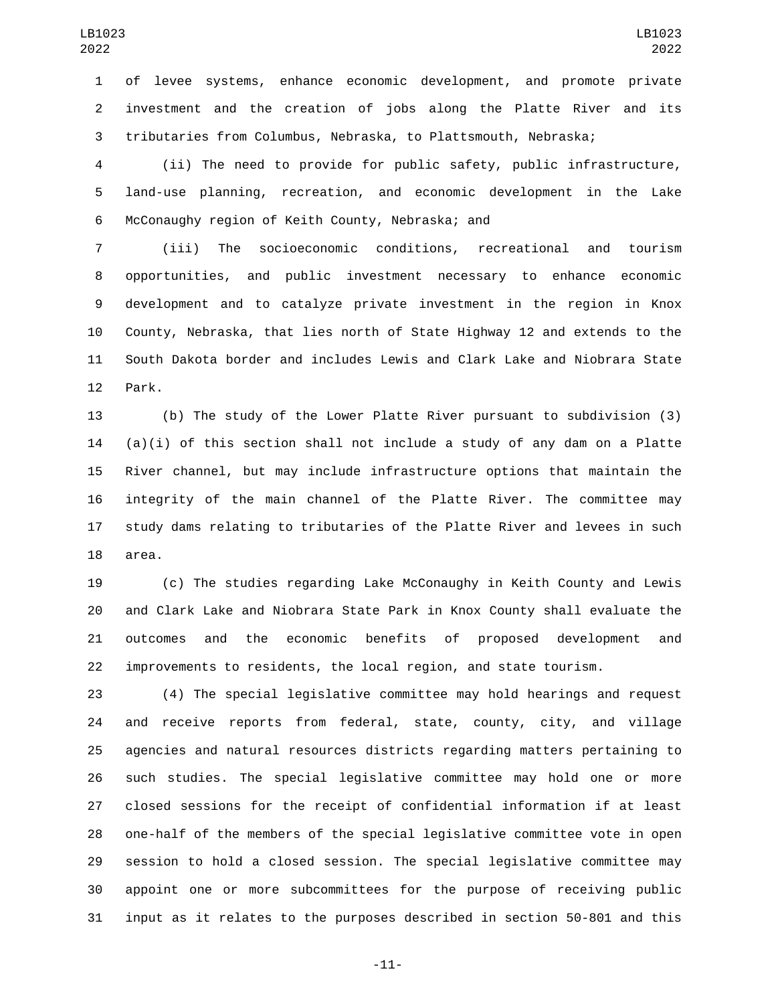of levee systems, enhance economic development, and promote private investment and the creation of jobs along the Platte River and its tributaries from Columbus, Nebraska, to Plattsmouth, Nebraska;

 (ii) The need to provide for public safety, public infrastructure, land-use planning, recreation, and economic development in the Lake 6 McConaughy region of Keith County, Nebraska; and

 (iii) The socioeconomic conditions, recreational and tourism opportunities, and public investment necessary to enhance economic development and to catalyze private investment in the region in Knox County, Nebraska, that lies north of State Highway 12 and extends to the South Dakota border and includes Lewis and Clark Lake and Niobrara State 12 Park.

 (b) The study of the Lower Platte River pursuant to subdivision (3) (a)(i) of this section shall not include a study of any dam on a Platte River channel, but may include infrastructure options that maintain the integrity of the main channel of the Platte River. The committee may study dams relating to tributaries of the Platte River and levees in such 18 area.

 (c) The studies regarding Lake McConaughy in Keith County and Lewis and Clark Lake and Niobrara State Park in Knox County shall evaluate the outcomes and the economic benefits of proposed development and improvements to residents, the local region, and state tourism.

 (4) The special legislative committee may hold hearings and request and receive reports from federal, state, county, city, and village agencies and natural resources districts regarding matters pertaining to such studies. The special legislative committee may hold one or more closed sessions for the receipt of confidential information if at least one-half of the members of the special legislative committee vote in open session to hold a closed session. The special legislative committee may appoint one or more subcommittees for the purpose of receiving public input as it relates to the purposes described in section 50-801 and this

-11-